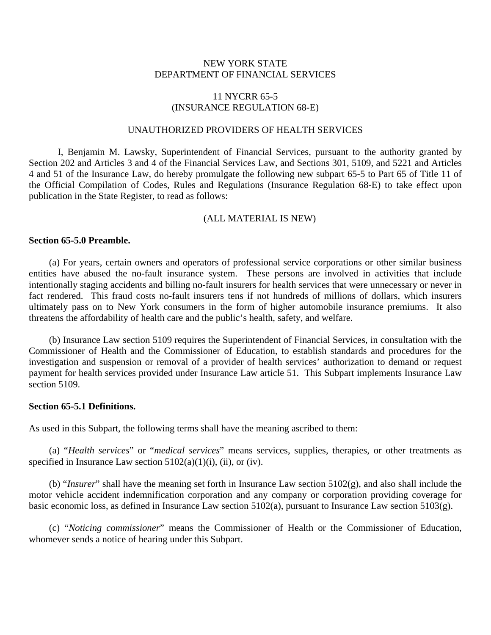## NEW YORK STATE DEPARTMENT OF FINANCIAL SERVICES

# 11 NYCRR 65-5 (INSURANCE REGULATION 68-E)

#### UNAUTHORIZED PROVIDERS OF HEALTH SERVICES

I, Benjamin M. Lawsky, Superintendent of Financial Services, pursuant to the authority granted by Section 202 and Articles 3 and 4 of the Financial Services Law, and Sections 301, 5109, and 5221 and Articles 4 and 51 of the Insurance Law, do hereby promulgate the following new subpart 65-5 to Part 65 of Title 11 of the Official Compilation of Codes, Rules and Regulations (Insurance Regulation 68-E) to take effect upon publication in the State Register, to read as follows:

#### (ALL MATERIAL IS NEW)

## **Section 65-5.0 Preamble.**

(a) For years, certain owners and operators of professional service corporations or other similar business entities have abused the no-fault insurance system. These persons are involved in activities that include intentionally staging accidents and billing no-fault insurers for health services that were unnecessary or never in fact rendered. This fraud costs no-fault insurers tens if not hundreds of millions of dollars, which insurers ultimately pass on to New York consumers in the form of higher automobile insurance premiums. It also threatens the affordability of health care and the public's health, safety, and welfare.

(b) Insurance Law section 5109 requires the Superintendent of Financial Services, in consultation with the Commissioner of Health and the Commissioner of Education, to establish standards and procedures for the investigation and suspension or removal of a provider of health services' authorization to demand or request payment for health services provided under Insurance Law article 51. This Subpart implements Insurance Law section 5109.

## **Section 65-5.1 Definitions.**

As used in this Subpart, the following terms shall have the meaning ascribed to them:

(a) "*Health services*" or "*medical services*" means services, supplies, therapies, or other treatments as specified in Insurance Law section  $5102(a)(1)(i)$ , (ii), or (iv).

(b) "*Insurer*" shall have the meaning set forth in Insurance Law section 5102(g), and also shall include the motor vehicle accident indemnification corporation and any company or corporation providing coverage for basic economic loss, as defined in Insurance Law section 5102(a), pursuant to Insurance Law section 5103(g).

(c) "*Noticing commissioner*" means the Commissioner of Health or the Commissioner of Education, whomever sends a notice of hearing under this Subpart.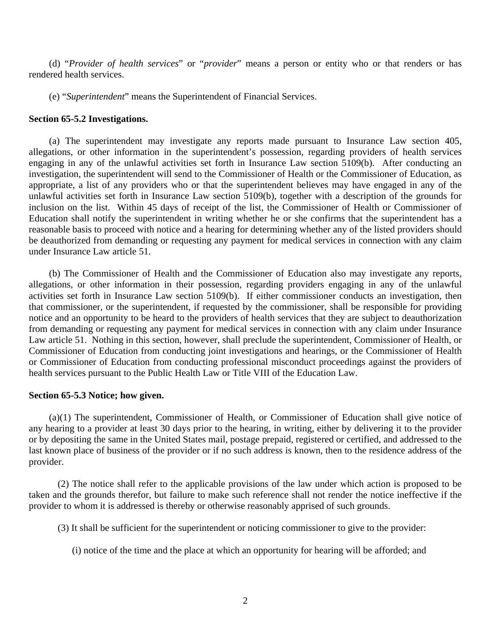(d) "*Provider of health services*" or "*provider*" means a person or entity who or that renders or has rendered health services.

(e) "*Superintendent*" means the Superintendent of Financial Services.

#### **Section 65-5.2 Investigations.**

(a) The superintendent may investigate any reports made pursuant to Insurance Law section 405, allegations, or other information in the superintendent's possession, regarding providers of health services engaging in any of the unlawful activities set forth in Insurance Law section 5109(b). After conducting an investigation, the superintendent will send to the Commissioner of Health or the Commissioner of Education, as appropriate, a list of any providers who or that the superintendent believes may have engaged in any of the unlawful activities set forth in Insurance Law section 5109(b), together with a description of the grounds for inclusion on the list. Within 45 days of receipt of the list, the Commissioner of Health or Commissioner of Education shall notify the superintendent in writing whether he or she confirms that the superintendent has a reasonable basis to proceed with notice and a hearing for determining whether any of the listed providers should be deauthorized from demanding or requesting any payment for medical services in connection with any claim under Insurance Law article 51.

(b) The Commissioner of Health and the Commissioner of Education also may investigate any reports, allegations, or other information in their possession, regarding providers engaging in any of the unlawful activities set forth in Insurance Law section 5109(b). If either commissioner conducts an investigation, then that commissioner, or the superintendent, if requested by the commissioner, shall be responsible for providing notice and an opportunity to be heard to the providers of health services that they are subject to deauthorization from demanding or requesting any payment for medical services in connection with any claim under Insurance Law article 51. Nothing in this section, however, shall preclude the superintendent, Commissioner of Health, or Commissioner of Education from conducting joint investigations and hearings, or the Commissioner of Health or Commissioner of Education from conducting professional misconduct proceedings against the providers of health services pursuant to the Public Health Law or Title VIII of the Education Law.

### **Section 65-5.3 Notice; how given.**

(a)(1) The superintendent, Commissioner of Health, or Commissioner of Education shall give notice of any hearing to a provider at least 30 days prior to the hearing, in writing, either by delivering it to the provider or by depositing the same in the United States mail, postage prepaid, registered or certified, and addressed to the last known place of business of the provider or if no such address is known, then to the residence address of the provider.

(2) The notice shall refer to the applicable provisions of the law under which action is proposed to be taken and the grounds therefor, but failure to make such reference shall not render the notice ineffective if the provider to whom it is addressed is thereby or otherwise reasonably apprised of such grounds.

(3) It shall be sufficient for the superintendent or noticing commissioner to give to the provider:

(i) notice of the time and the place at which an opportunity for hearing will be afforded; and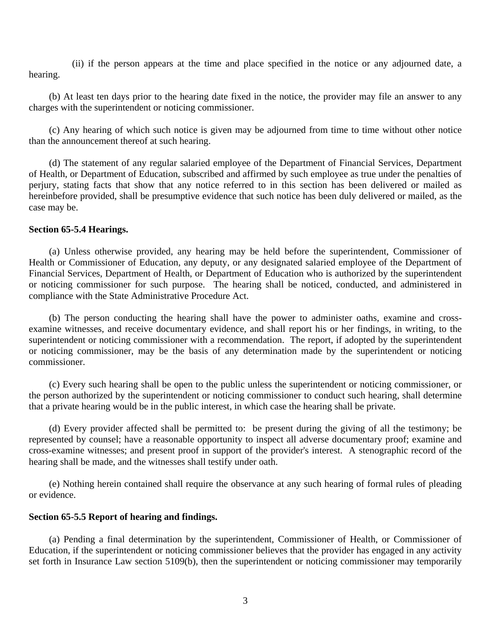(ii) if the person appears at the time and place specified in the notice or any adjourned date, a hearing.

(b) At least ten days prior to the hearing date fixed in the notice, the provider may file an answer to any charges with the superintendent or noticing commissioner.

(c) Any hearing of which such notice is given may be adjourned from time to time without other notice than the announcement thereof at such hearing.

(d) The statement of any regular salaried employee of the Department of Financial Services, Department of Health, or Department of Education, subscribed and affirmed by such employee as true under the penalties of perjury, stating facts that show that any notice referred to in this section has been delivered or mailed as hereinbefore provided, shall be presumptive evidence that such notice has been duly delivered or mailed, as the case may be.

#### **Section 65-5.4 Hearings.**

(a) Unless otherwise provided, any hearing may be held before the superintendent, Commissioner of Health or Commissioner of Education, any deputy, or any designated salaried employee of the Department of Financial Services, Department of Health, or Department of Education who is authorized by the superintendent or noticing commissioner for such purpose. The hearing shall be noticed, conducted, and administered in compliance with the State Administrative Procedure Act.

(b) The person conducting the hearing shall have the power to administer oaths, examine and crossexamine witnesses, and receive documentary evidence, and shall report his or her findings, in writing, to the superintendent or noticing commissioner with a recommendation. The report, if adopted by the superintendent or noticing commissioner, may be the basis of any determination made by the superintendent or noticing commissioner.

(c) Every such hearing shall be open to the public unless the superintendent or noticing commissioner, or the person authorized by the superintendent or noticing commissioner to conduct such hearing, shall determine that a private hearing would be in the public interest, in which case the hearing shall be private.

(d) Every provider affected shall be permitted to: be present during the giving of all the testimony; be represented by counsel; have a reasonable opportunity to inspect all adverse documentary proof; examine and cross-examine witnesses; and present proof in support of the provider's interest. A stenographic record of the hearing shall be made, and the witnesses shall testify under oath.

(e) Nothing herein contained shall require the observance at any such hearing of formal rules of pleading or evidence.

#### **Section 65-5.5 Report of hearing and findings.**

(a) Pending a final determination by the superintendent, Commissioner of Health, or Commissioner of Education, if the superintendent or noticing commissioner believes that the provider has engaged in any activity set forth in Insurance Law section 5109(b), then the superintendent or noticing commissioner may temporarily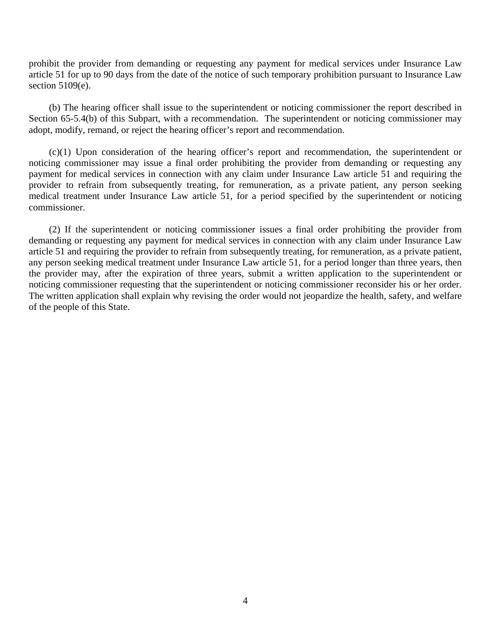prohibit the provider from demanding or requesting any payment for medical services under Insurance Law article 51 for up to 90 days from the date of the notice of such temporary prohibition pursuant to Insurance Law section 5109(e).

(b) The hearing officer shall issue to the superintendent or noticing commissioner the report described in Section 65-5.4(b) of this Subpart, with a recommendation. The superintendent or noticing commissioner may adopt, modify, remand, or reject the hearing officer's report and recommendation.

(c)(1) Upon consideration of the hearing officer's report and recommendation, the superintendent or noticing commissioner may issue a final order prohibiting the provider from demanding or requesting any payment for medical services in connection with any claim under Insurance Law article 51 and requiring the provider to refrain from subsequently treating, for remuneration, as a private patient, any person seeking medical treatment under Insurance Law article 51, for a period specified by the superintendent or noticing commissioner.

(2) If the superintendent or noticing commissioner issues a final order prohibiting the provider from demanding or requesting any payment for medical services in connection with any claim under Insurance Law article 51 and requiring the provider to refrain from subsequently treating, for remuneration, as a private patient, any person seeking medical treatment under Insurance Law article 51, for a period longer than three years, then the provider may, after the expiration of three years, submit a written application to the superintendent or noticing commissioner requesting that the superintendent or noticing commissioner reconsider his or her order. The written application shall explain why revising the order would not jeopardize the health, safety, and welfare of the people of this State.